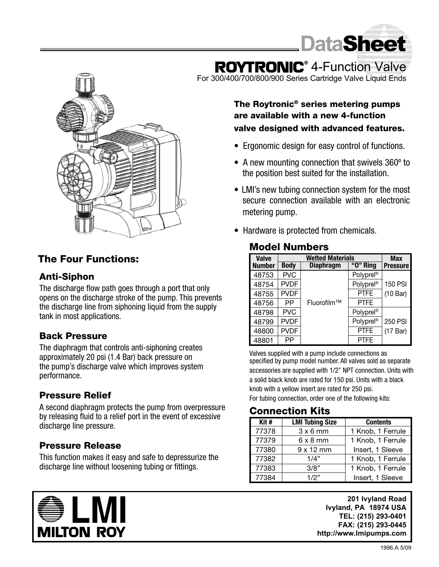

# **ROYTRONIC**<sup>®</sup> 4-Function Valve

For 300/400/700/800/900 Series Cartridge Valve Liquid Ends



### The Four Functions:

#### Anti-Siphon

The discharge flow path goes through a port that only opens on the discharge stroke of the pump. This prevents the discharge line from siphoning liquid from the supply tank in most applications.

#### Back Pressure

The diaphragm that controls anti-siphoning creates approximately 20 psi (1.4 Bar) back pressure on the pump's discharge valve which improves system performance.

#### Pressure Relief

A second diaphragm protects the pump from overpressure by releasing fluid to a relief port in the event of excessive discharge line pressure.

#### Pressure Release

This function makes it easy and safe to depressurize the discharge line without loosening tubing or fittings.



The Roytronic® series metering pumps are available with a new 4-function valve designed with advanced features.

- Ergonomic design for easy control of functions.
- A new mounting connection that swivels 360<sup>°</sup> to the position best suited for the installation.
- LMI's new tubing connection system for the most secure connection available with an electronic metering pump.
- Hardware is protected from chemicals.

#### Model Numbers

| <b>Valve</b>  | <b>Wetted Materials</b> |                  |                       | <b>Max</b>      |
|---------------|-------------------------|------------------|-----------------------|-----------------|
| <b>Number</b> | <b>Body</b>             | <b>Diaphragm</b> | "O" Ring              | <b>Pressure</b> |
| 48753         | <b>PVC</b>              |                  | Polyprel <sup>®</sup> |                 |
| 48754         | <b>PVDF</b>             |                  | Polyprel®             | <b>150 PSI</b>  |
| 48755         | <b>PVDF</b>             |                  | <b>PTFE</b>           | (10 Bar)        |
| 48756         | РP                      | Fluorofilm™      | <b>PTFE</b>           |                 |
| 48798         | <b>PVC</b>              |                  | Polyprel <sup>®</sup> |                 |
| 48799         | <b>PVDF</b>             |                  | Polyprel®             | 250 PSI         |
| 48800         | <b>PVDF</b>             |                  | <b>PTFE</b>           | (17 Bar)        |
| 48801         | РP                      |                  | <b>PTFE</b>           |                 |

Valves supplied with a pump include connections as specified by pump model number. All valves sold as separate accessories are supplied with 1/2" NPT connection. Units with a solid black knob are rated for 150 psi. Units with a black knob with a yellow insert are rated for 250 psi.

For tubing connection, order one of the following kits:

#### Connection Kits

| Kit#  | <b>LMI Tubing Size</b> | <b>Contents</b>   |
|-------|------------------------|-------------------|
| 77378 | $3 \times 6$ mm        | 1 Knob, 1 Ferrule |
| 77379 | $6 \times 8$ mm        | 1 Knob, 1 Ferrule |
| 77380 | $9 \times 12$ mm       | Insert, 1 Sleeve  |
| 77382 | 1/4"                   | 1 Knob, 1 Ferrule |
| 77383 | 3/8"                   | 1 Knob, 1 Ferrule |
| 77384 | 1/2"                   | Insert, 1 Sleeve  |

**201 Ivyland Road Ivyland, PA 18974 USA TEL: (215) 293-0401 FAX: (215) 293-0445 http://www.Imipumps.com**